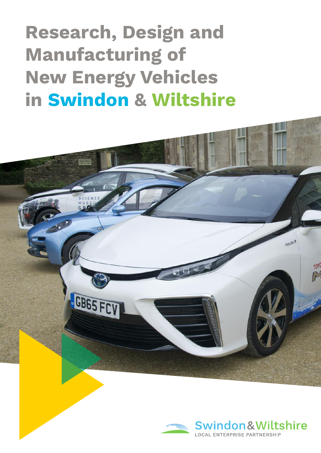**Research, Design and Manufacturing of New Energy Vehicles in Swindon & Wiltshire**



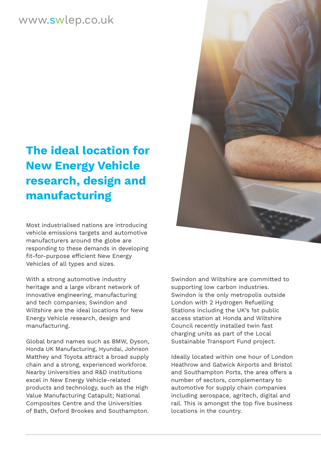## www.swlep.co.uk

# **The ideal location for New Energy Vehicle research, design and manufacturing**

Most industrialised nations are introducing vehicle emissions targets and automotive manufacturers around the globe are responding to these demands in developing fit-for-purpose efficient New Energy Vehicles of all types and sizes.

With a strong automotive industry heritage and a large vibrant network of innovative engineering, manufacturing and tech companies; Swindon and Wiltshire are the ideal locations for New Energy Vehicle research, design and manufacturing.

Global brand names such as BMW, Dyson, Honda UK Manufacturing, Hyundai, Johnson Matthey and Toyota attract a broad supply chain and a strong, experienced workforce. Nearby Universities and R&D institutions excel in New Energy Vehicle-related products and technology, such as the High Value Manufacturing Catapult; National Composites Centre and the Universities of Bath, Oxford Brookes and Southampton.



Swindon and Wiltshire are committed to supporting low carbon industries. Swindon is the only metropolis outside London with 2 Hydrogen Refuelling Stations including the UK's 1st public access station at Honda and Wiltshire Council recently installed twin fast charging units as part of the Local Sustainable Transport Fund project.

Ideally located within one hour of London Heathrow and Gatwick Airports and Bristol and Southampton Ports, the area offers a number of sectors, complementary to automotive for supply chain companies including aerospace, agritech, digital and rail. This is amongst the top five business locations in the country.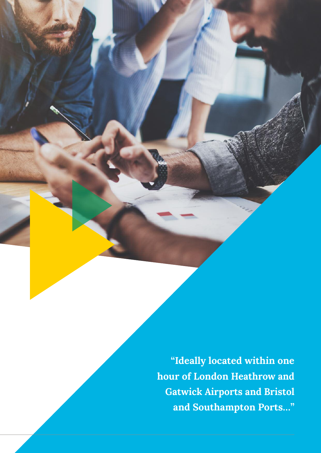**"Ideally located within one hour of London Heathrow and Gatwick Airports and Bristol and Southampton Ports…"**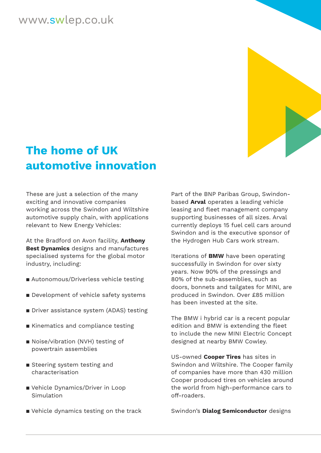## www.swlep.co.uk



# **The home of UK automotive innovation**

These are just a selection of the many exciting and innovative companies working across the Swindon and Wiltshire automotive supply chain, with applications relevant to New Energy Vehicles:

At the Bradford on Avon facility, **Anthony Best Dynamics** designs and manufactures specialised systems for the global motor industry, including:

- Autonomous/Driverless vehicle testing
- **Development of vehicle safety systems**
- Driver assistance system (ADAS) testing
- $\blacksquare$  Kinematics and compliance testing
- Noise/vibration (NVH) testing of powertrain assemblies
- **B** Steering system testing and characterisation
- Vehicle Dynamics/Driver in Loop Simulation
- Vehicle dynamics testing on the track

Part of the BNP Paribas Group, Swindonbased **Arval** operates a leading vehicle leasing and fleet management company supporting businesses of all sizes. Arval currently deploys 15 fuel cell cars around Swindon and is the executive sponsor of the Hydrogen Hub Cars work stream.

Iterations of **BMW** have been operating successfully in Swindon for over sixty years. Now 90% of the pressings and 80% of the sub-assemblies, such as doors, bonnets and tailgates for MINI, are produced in Swindon. Over £85 million has been invested at the site.

The BMW i hybrid car is a recent popular edition and BMW is extending the fleet to include the new MINI Electric Concept designed at nearby BMW Cowley.

US-owned **Cooper Tires** has sites in Swindon and Wiltshire. The Cooper family of companies have more than 430 million Cooper produced tires on vehicles around the world from high-performance cars to off-roaders.

Swindon's **Dialog Semiconductor** designs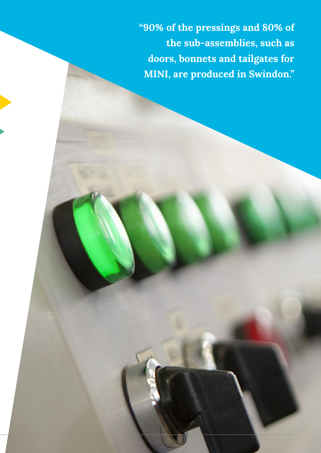**"90% of the pressings and 80% of the sub-assemblies, such as doors, bonnets and tailgates for MINI, are produced in Swindon."**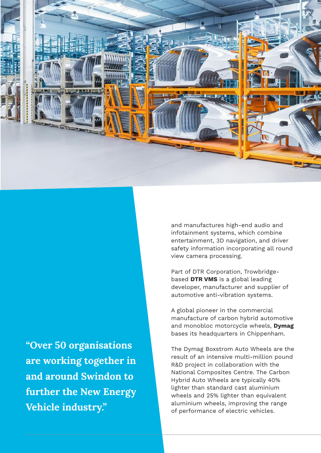

**"Over 50 organisations are working together in and around Swindon to further the New Energy Vehicle industry."**

and manufactures high-end audio and infotainment systems, which combine entertainment, 3D navigation, and driver safety information incorporating all round view camera processing.

Part of DTR Corporation, Trowbridgebased **DTR VMS** is a global leading developer, manufacturer and supplier of automotive anti-vibration systems.

A global pioneer in the commercial manufacture of carbon hybrid automotive and monobloc motorcycle wheels, **Dymag** bases its headquarters in Chippenham.

The Dymag Boxstrom Auto Wheels are the result of an intensive multi-million pound R&D project in collaboration with the National Composites Centre. The Carbon Hybrid Auto Wheels are typically 40% lighter than standard cast aluminium wheels and 25% lighter than equivalent aluminium wheels, improving the range of performance of electric vehicles.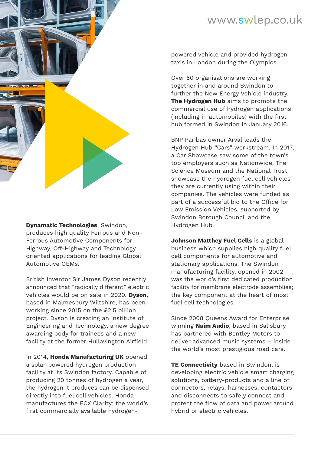## www.swlep.co.uk



**Dynamatic Technologies**, Swindon, produces high quality Ferrous and Non-Ferrous Automotive Components for Highway, Off-Highway and Technology oriented applications for leading Global Automotive OEMs.

British inventor Sir James Dyson recently announced that "radically different" electric vehicles would be on sale in 2020. **Dyson**, based in Malmesbury Wiltshire, has been working since 2015 on the £2.5 billion project. Dyson is creating an Institute of Engineering and Technology, a new degree awarding body for trainees and a new facility at the former Hullavington Airfield.

In 2014, **Honda Manufacturing UK** opened a solar-powered hydrogen production facility at its Swindon factory. Capable of producing 20 tonnes of hydrogen a year, the hydrogen it produces can be dispensed directly into fuel cell vehicles. Honda manufactures the FCX Clarity; the world's first commercially available hydrogenpowered vehicle and provided hydrogen taxis in London during the Olympics.

Over 50 organisations are working together in and around Swindon to further the New Energy Vehicle industry. **The Hydrogen Hub** aims to promote the commercial use of hydrogen applications (including in automobiles) with the first hub formed in Swindon in January 2016.

BNP Paribas owner Arval leads the Hydrogen Hub "Cars" workstream. In 2017, a Car Showcase saw some of the town's top employers such as Nationwide, The Science Museum and the National Trust showcase the hydrogen fuel cell vehicles they are currently using within their companies. The vehicles were funded as part of a successful bid to the Office for Low Emission Vehicles, supported by Swindon Borough Council and the Hydrogen Hub.

**Johnson Matthey Fuel Cells** is a global business which supplies high quality fuel cell components for automotive and stationary applications. The Swindon manufacturing facility, opened in 2002 was the world's first dedicated production facility for membrane electrode assemblies; the key component at the heart of most fuel cell technologies.

Since 2008 Queens Award for Enterprise winning **Naim Audio**, based in Salisbury has partnered with Bentley Motors to deliver advanced music systems – inside the world's most prestigious road cars.

**TE Connectivity** based in Swindon, is developing electric vehicle smart charging solutions, battery-products and a line of connectors, relays, harnesses, contactors and disconnects to safely connect and protect the flow of data and power around hybrid or electric vehicles.